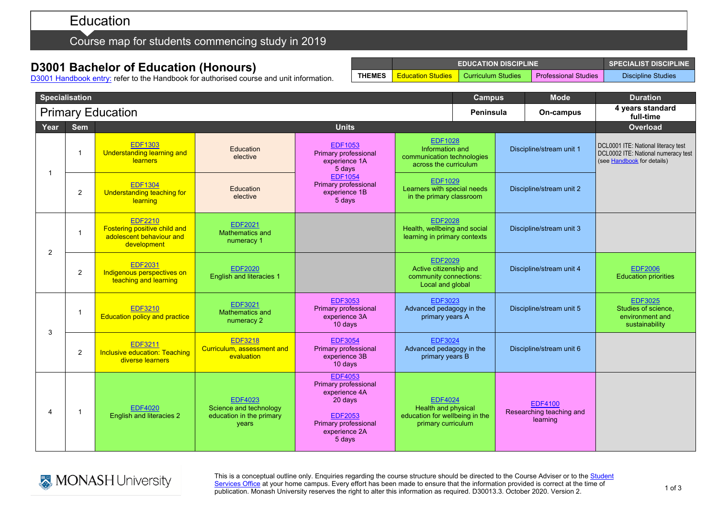## Education

## Course map for students commencing study in 2019

## **D3001 Bachelor of Education (Honours)**

D3001 [Handbook entry:](http://www.monash.edu.au/pubs/2019handbooks/courses/D3001.html) refer to the Handbook for authorised course and unit information.

|                          | <b>Specialisation</b> |                                                                                                  |                                                                               |                                                                                                                                         | <b>Campus</b>                                                                                 |  | <b>Mode</b>                                            | <b>Duration</b>          |                                                                                                          |
|--------------------------|-----------------------|--------------------------------------------------------------------------------------------------|-------------------------------------------------------------------------------|-----------------------------------------------------------------------------------------------------------------------------------------|-----------------------------------------------------------------------------------------------|--|--------------------------------------------------------|--------------------------|----------------------------------------------------------------------------------------------------------|
| <b>Primary Education</b> |                       |                                                                                                  |                                                                               |                                                                                                                                         |                                                                                               |  | <b>Peninsula</b>                                       | On-campus                | 4 years standard<br>full-time                                                                            |
| Year                     | <b>Sem</b>            |                                                                                                  | <b>Units</b>                                                                  |                                                                                                                                         |                                                                                               |  |                                                        |                          | <b>Overload</b>                                                                                          |
| 1                        |                       | <b>EDF1303</b><br><b>Understanding learning and</b><br><b>learners</b>                           | Education<br>elective                                                         | <b>EDF1053</b><br>Primary professional<br>experience 1A<br>5 days                                                                       | <b>EDF1028</b><br>Information and<br>communication technologies<br>across the curriculum      |  | Discipline/stream unit 1                               |                          | DCL0001 ITE: National literacy test<br>DCL0002 ITE: National numeracy test<br>(see Handbook for details) |
|                          | 2                     | <b>EDF1304</b><br>Understanding teaching for<br>learning                                         | Education<br>elective                                                         | <b>EDF1054</b><br>Primary professional<br>experience 1B<br>5 days                                                                       | <b>EDF1029</b><br>Learners with special needs<br>in the primary classroom                     |  |                                                        | Discipline/stream unit 2 |                                                                                                          |
| 2                        |                       | <b>EDF2210</b><br><b>Fostering positive child and</b><br>adolescent behaviour and<br>development | <b>EDF2021</b><br><b>Mathematics and</b><br>numeracy 1                        |                                                                                                                                         | <b>EDF2028</b><br>Health, wellbeing and social<br>learning in primary contexts                |  |                                                        | Discipline/stream unit 3 |                                                                                                          |
|                          | 2                     | <b>EDF2031</b><br>Indigenous perspectives on<br>teaching and learning                            | <b>EDF2020</b><br><b>English and literacies 1</b>                             |                                                                                                                                         | <b>EDF2029</b><br>Active citizenship and<br>community connections:<br>Local and global        |  |                                                        | Discipline/stream unit 4 | <b>EDF2006</b><br><b>Education priorities</b>                                                            |
| 3                        | $\overline{1}$        | <b>EDF3210</b><br><b>Education policy and practice</b>                                           | <b>EDF3021</b><br>Mathematics and<br>numeracy 2                               | <b>EDF3053</b><br>Primary professional<br>experience 3A<br>$10$ days                                                                    | <b>EDF3023</b><br>Advanced pedagogy in the<br>primary years A                                 |  |                                                        | Discipline/stream unit 5 | <b>EDF3025</b><br>Studies of science.<br>environment and<br>sustainability                               |
|                          | 2                     | <b>EDF3211</b><br><b>Inclusive education: Teaching</b><br>diverse learners                       | <b>EDF3218</b><br>Curriculum, assessment and<br>evaluation                    | <b>EDF3054</b><br>Primary professional<br>experience 3B<br>10 days                                                                      | <b>EDF3024</b><br>Advanced pedagogy in the<br>primary years B                                 |  |                                                        | Discipline/stream unit 6 |                                                                                                          |
| 4                        |                       | <b>EDF4020</b><br><b>English and literacies 2</b>                                                | <b>EDF4023</b><br>Science and technology<br>education in the primary<br>years | <b>EDF4053</b><br>Primary professional<br>experience 4A<br>20 days<br><b>EDF2053</b><br>Primary professional<br>experience 2A<br>5 days | <b>EDF4024</b><br>Health and physical<br>education for wellbeing in the<br>primary curriculum |  | <b>EDF4100</b><br>Researching teaching and<br>learning |                          |                                                                                                          |



This is a conceptual outline only. Enquiries regarding the course structure should be directed to the Course Adviser or to the <u>Student</u> <u>[Services Office](https://www.monash.edu/education/current-students/contact)</u> at your home campus. Every effort has been made to ensure that the information provided is correct at the time of publication. Monash University reserves the right to alter this information as required. D30013.3. October 2020. Version 2.

**EDUCATION DISCIPLINE SPECIALIST DISCIPLINE THEMES** Education Studies Curriculum Studies Professional Studies Discipline Studies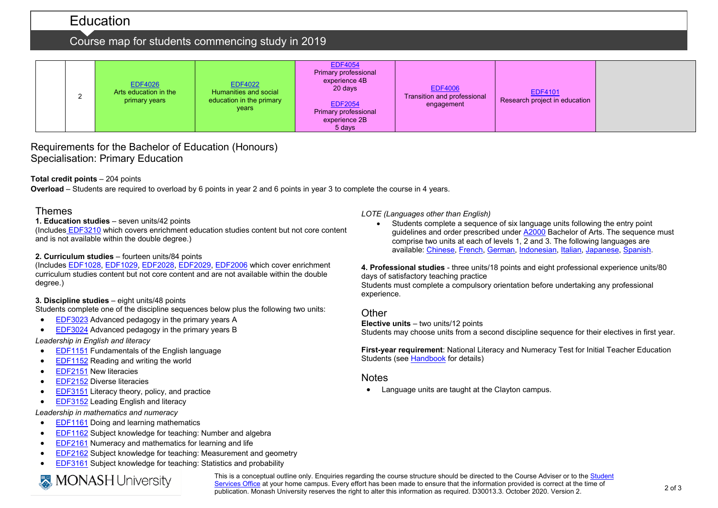## Education

## Course map for students commencing study in 2019

|  |  | <b>EDF4026</b><br>Arts education in the<br>primary years | <b>EDF4022</b><br>Humanities and social<br>education in the primary<br>years | <b>EDF4054</b><br>Primary professional<br>experience 4B<br>20 days<br><b>EDF2054</b><br>Primary professional<br>experience 2B<br>5 days | <b>EDF4006</b><br>Transition and professional<br>engagement | <b>EDF4101</b><br>Research project in education |  |
|--|--|----------------------------------------------------------|------------------------------------------------------------------------------|-----------------------------------------------------------------------------------------------------------------------------------------|-------------------------------------------------------------|-------------------------------------------------|--|
|--|--|----------------------------------------------------------|------------------------------------------------------------------------------|-----------------------------------------------------------------------------------------------------------------------------------------|-------------------------------------------------------------|-------------------------------------------------|--|

### Requirements for the Bachelor of Education (Honours) Specialisation: Primary Education

#### **Total credit points** – 204 points

**Overload** – Students are required to overload by 6 points in year 2 and 6 points in year 3 to complete the course in 4 years.

#### Themes

#### **1. Education studies** – seven units/42 points

(Includes [EDF3210](http://www.monash.edu.au/pubs/handbooks/units/EDF3210.html) which covers enrichment education studies content but not core content and is not available within the double degree.)

#### **2. Curriculum studies** – fourteen units/84 points

(Includes [EDF1028,](http://www.monash.edu.au/pubs/handbooks/units/EDF1028.html) [EDF1029,](http://www.monash.edu.au/pubs/handbooks/units/EDF1029.html) [EDF2028,](http://www.monash.edu.au/pubs/handbooks/units/EDF2028.html) [EDF2029,](http://www.monash.edu.au/pubs/handbooks/units/EDF2029.html) [EDF2006](http://www.monash.edu.au/pubs/handbooks/units/EDF2006.html) which cover enrichment curriculum studies content but not core content and are not available within the double degree.)

#### **3. Discipline studies** – eight units/48 points

Students complete one of the discipline sequences below plus the following two units:

- [EDF3023](http://www.monash.edu.au/pubs/handbooks/units/EDF3023.html) Advanced pedagogy in the primary years A
- [EDF3024](http://www.monash.edu.au/pubs/handbooks/units/EDF3024.html) Advanced pedagogy in the primary years B

*Leadership in English and literacy*

- [EDF1151](http://www.monash.edu.au/pubs/handbooks/units/EDF1151.html) Fundamentals of the English language
- [EDF1152](http://www.monash.edu.au/pubs/handbooks/units/EDF1152.html) Reading and writing the world
- [EDF2151](http://www.monash.edu.au/pubs/handbooks/units/EDF2151.html) New literacies
- [EDF2152](http://www.monash.edu.au/pubs/handbooks/units/EDF2152.html) Diverse literacies
- [EDF3151](http://www.monash.edu.au/pubs/handbooks/units/EDF3151.html) Literacy theory, policy, and practice
- [EDF3152](http://www.monash.edu.au/pubs/handbooks/units/EDF3152.html) Leading English and literacy

*Leadership in mathematics and numeracy*

- [EDF1161](http://www.monash.edu.au/pubs/handbooks/units/EDF1161.html) Doing and learning mathematics
- [EDF1162](http://www.monash.edu.au/pubs/handbooks/units/EDF1162.html) Subject knowledge for teaching: Number and algebra
- [EDF2161](http://www.monash.edu.au/pubs/handbooks/units/EDF2161.html) Numeracy and mathematics for learning and life
- [EDF2162](http://www.monash.edu.au/pubs/handbooks/units/EDF2162.html) Subject knowledge for teaching: Measurement and geometry
- [EDF3161](http://www.monash.edu.au/pubs/handbooks/units/EDF3161.html) Subject knowledge for teaching: Statistics and probability

# **MONASH University**

*LOTE (Languages other than English)*

• Students complete a sequence of six language units following the entry point guidelines and order prescribed under [A2000](http://www.monash.edu.au/pubs/2019handbooks/courses/A2000.html) Bachelor of Arts. The sequence must comprise two units at each of levels 1, 2 and 3. The following languages are available: [Chinese,](http://www.monash.edu.au/pubs/2019handbooks/aos/chinese-studies/ug-arts-chinese-studies.html) [French,](http://www.monash.edu.au/pubs/2019handbooks/aos/french-studies/ug-arts-french-studies.html) [German,](http://www.monash.edu.au/pubs/2019handbooks/aos/german-studies/ug-arts-german-studies.html) [Indonesian,](http://www.monash.edu.au/pubs/2019handbooks/aos/indonesian-studies/ug-arts-indonesian-studies.html) [Italian,](http://www.monash.edu.au/pubs/2019handbooks/aos/italian-studies/ug-arts-italian-studies.html) [Japanese,](http://www.monash.edu.au/pubs/2019handbooks/aos/japanese-studies/ug-arts-japanese-studies.html) [Spanish.](http://www.monash.edu.au/pubs/2019handbooks/aos/spanish-and-latin-american-studies/ug-arts-spanish-and-latin-american-studies.html)

**4. Professional studies** - three units/18 points and eight professional experience units/80 days of satisfactory teaching practice

Students must complete a compulsory orientation before undertaking any professional experience.

#### **Other**

**Elective units** – two units/12 points Students may choose units from a second discipline sequence for their electives in first year.

**First-year requirement**: National Literacy and Numeracy Test for Initial Teacher Education Students (se[e Handbook](http://www.monash.edu.au/pubs/2019handbooks/courses/D3001.html) for details)

#### Notes

• Language units are taught at the Clayton campus.

This is a conceptual outline only. Enquiries regarding the course structure should be directed to the Course Adviser or to the [Student](https://www.monash.edu/education/current-students/contact)  [Services Office](https://www.monash.edu/education/current-students/contact) at your home campus. Every effort has been made to ensure that the information provided is correct at the time of publication. Monash University reserves the right to alter this information as required. D30013.3. October 2020. Version 2.